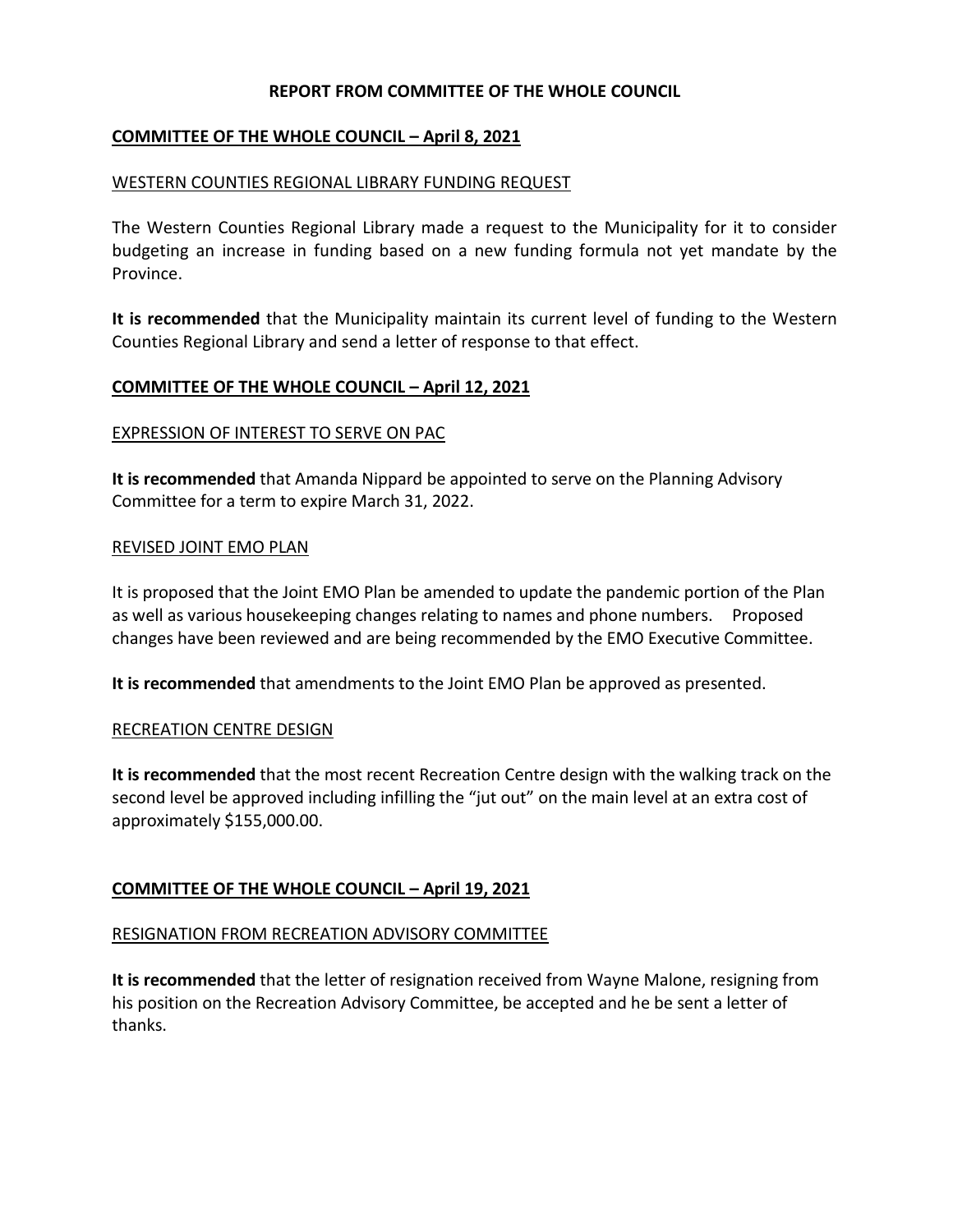## **REPORT FROM COMMITTEE OF THE WHOLE COUNCIL**

# **COMMITTEE OF THE WHOLE COUNCIL – April 8, 2021**

### WESTERN COUNTIES REGIONAL LIBRARY FUNDING REQUEST

The Western Counties Regional Library made a request to the Municipality for it to consider budgeting an increase in funding based on a new funding formula not yet mandate by the Province.

**It is recommended** that the Municipality maintain its current level of funding to the Western Counties Regional Library and send a letter of response to that effect.

### **COMMITTEE OF THE WHOLE COUNCIL – April 12, 2021**

### EXPRESSION OF INTEREST TO SERVE ON PAC

**It is recommended** that Amanda Nippard be appointed to serve on the Planning Advisory Committee for a term to expire March 31, 2022.

### REVISED JOINT EMO PLAN

It is proposed that the Joint EMO Plan be amended to update the pandemic portion of the Plan as well as various housekeeping changes relating to names and phone numbers. Proposed changes have been reviewed and are being recommended by the EMO Executive Committee.

**It is recommended** that amendments to the Joint EMO Plan be approved as presented.

#### RECREATION CENTRE DESIGN

**It is recommended** that the most recent Recreation Centre design with the walking track on the second level be approved including infilling the "jut out" on the main level at an extra cost of approximately \$155,000.00.

## **COMMITTEE OF THE WHOLE COUNCIL – April 19, 2021**

#### RESIGNATION FROM RECREATION ADVISORY COMMITTEE

**It is recommended** that the letter of resignation received from Wayne Malone, resigning from his position on the Recreation Advisory Committee, be accepted and he be sent a letter of thanks.